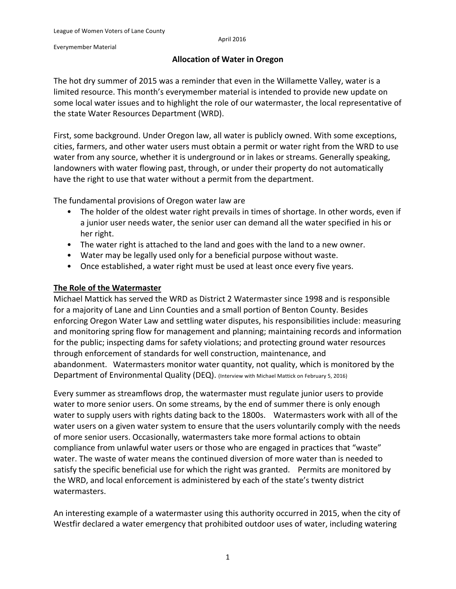April 2016

## **Allocation of Water in Oregon**

The hot dry summer of 2015 was a reminder that even in the Willamette Valley, water is a limited resource. This month's everymember material is intended to provide new update on some local water issues and to highlight the role of our watermaster, the local representative of the state Water Resources Department (WRD).

First, some background. Under Oregon law, all water is publicly owned. With some exceptions, cities, farmers, and other water users must obtain a permit or water right from the WRD to use water from any source, whether it is underground or in lakes or streams. Generally speaking, landowners with water flowing past, through, or under their property do not automatically have the right to use that water without a permit from the department.

The fundamental provisions of Oregon water law are

- The holder of the oldest water right prevails in times of shortage. In other words, even if a junior user needs water, the senior user can demand all the water specified in his or her right.
- The water right is attached to the land and goes with the land to a new owner.
- Water may be legally used only for a beneficial purpose without waste.
- Once established, a water right must be used at least once every five years.

# **The Role of the Watermaster**

Michael Mattick has served the WRD as District 2 Watermaster since 1998 and is responsible for a majority of Lane and Linn Counties and a small portion of Benton County. Besides enforcing Oregon Water Law and settling water disputes, his responsibilities include: measuring and monitoring spring flow for management and planning; maintaining records and information for the public; inspecting dams for safety violations; and protecting ground water resources through enforcement of standards for well construction, maintenance, and abandonment. Watermasters monitor water quantity, not quality, which is monitored by the Department of Environmental Quality (DEQ). (Interview with Michael Mattick on February 5, 2016)

Every summer as streamflows drop, the watermaster must regulate junior users to provide water to more senior users. On some streams, by the end of summer there is only enough water to supply users with rights dating back to the 1800s. Watermasters work with all of the water users on a given water system to ensure that the users voluntarily comply with the needs of more senior users. Occasionally, watermasters take more formal actions to obtain compliance from unlawful water users or those who are engaged in practices that "waste" water. The waste of water means the continued diversion of more water than is needed to satisfy the specific beneficial use for which the right was granted. Permits are monitored by the WRD, and local enforcement is administered by each of the state's twenty district watermasters. 

An interesting example of a watermaster using this authority occurred in 2015, when the city of Westfir declared a water emergency that prohibited outdoor uses of water, including watering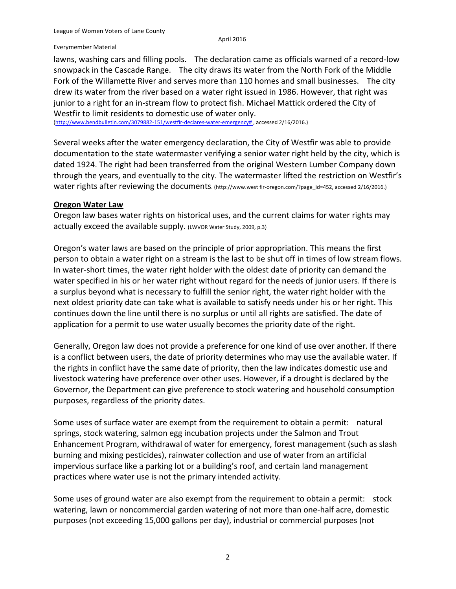April 2016

#### Everymember Material

lawns, washing cars and filling pools. The declaration came as officials warned of a record-low snowpack in the Cascade Range. The city draws its water from the North Fork of the Middle Fork of the Willamette River and serves more than 110 homes and small businesses. The city drew its water from the river based on a water right issued in 1986. However, that right was junior to a right for an in-stream flow to protect fish. Michael Mattick ordered the City of Westfir to limit residents to domestic use of water only.

(http://www.bendbulletin.com/3079882-151/westfir-declares-water-emergency#, accessed 2/16/2016.)

Several weeks after the water emergency declaration, the City of Westfir was able to provide documentation to the state watermaster verifying a senior water right held by the city, which is dated 1924. The right had been transferred from the original Western Lumber Company down through the years, and eventually to the city. The watermaster lifted the restriction on Westfir's Water rights after reviewing the documents. (http://www.west fir-oregon.com/?page\_id=452, accessed 2/16/2016.)

## **Oregon Water Law**

Oregon law bases water rights on historical uses, and the current claims for water rights may actually exceed the available supply. (LWVOR Water Study, 2009, p.3)

Oregon's water laws are based on the principle of prior appropriation. This means the first person to obtain a water right on a stream is the last to be shut off in times of low stream flows. In water-short times, the water right holder with the oldest date of priority can demand the water specified in his or her water right without regard for the needs of junior users. If there is a surplus beyond what is necessary to fulfill the senior right, the water right holder with the next oldest priority date can take what is available to satisfy needs under his or her right. This continues down the line until there is no surplus or until all rights are satisfied. The date of application for a permit to use water usually becomes the priority date of the right.

Generally, Oregon law does not provide a preference for one kind of use over another. If there is a conflict between users, the date of priority determines who may use the available water. If the rights in conflict have the same date of priority, then the law indicates domestic use and livestock watering have preference over other uses. However, if a drought is declared by the Governor, the Department can give preference to stock watering and household consumption purposes, regardless of the priority dates.

Some uses of surface water are exempt from the requirement to obtain a permit: natural springs, stock watering, salmon egg incubation projects under the Salmon and Trout Enhancement Program, withdrawal of water for emergency, forest management (such as slash burning and mixing pesticides), rainwater collection and use of water from an artificial impervious surface like a parking lot or a building's roof, and certain land management practices where water use is not the primary intended activity.

Some uses of ground water are also exempt from the requirement to obtain a permit: stock watering, lawn or noncommercial garden watering of not more than one-half acre, domestic purposes (not exceeding 15,000 gallons per day), industrial or commercial purposes (not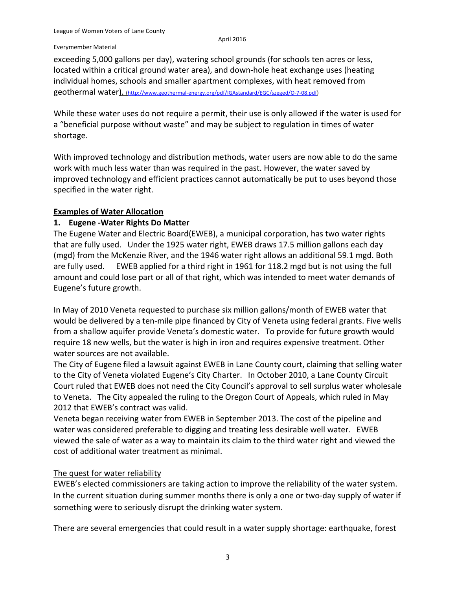exceeding 5,000 gallons per day), watering school grounds (for schools ten acres or less, located within a critical ground water area), and down-hole heat exchange uses (heating individual homes, schools and smaller apartment complexes, with heat removed from geothermal water). (http://www.geothermal-energy.org/pdf/IGAstandard/EGC/szeged/O-7-08.pdf)

While these water uses do not require a permit, their use is only allowed if the water is used for a "beneficial purpose without waste" and may be subject to regulation in times of water shortage.

With improved technology and distribution methods, water users are now able to do the same work with much less water than was required in the past. However, the water saved by improved technology and efficient practices cannot automatically be put to uses beyond those specified in the water right.

### **Examples of Water Allocation**

## 1. Eugene - Water Rights Do Matter

The Eugene Water and Electric Board(EWEB), a municipal corporation, has two water rights that are fully used. Under the 1925 water right, EWEB draws 17.5 million gallons each day (mgd) from the McKenzie River, and the 1946 water right allows an additional 59.1 mgd. Both are fully used. EWEB applied for a third right in 1961 for 118.2 mgd but is not using the full amount and could lose part or all of that right, which was intended to meet water demands of Eugene's future growth.

In May of 2010 Veneta requested to purchase six million gallons/month of EWEB water that would be delivered by a ten-mile pipe financed by City of Veneta using federal grants. Five wells from a shallow aquifer provide Veneta's domestic water. To provide for future growth would require 18 new wells, but the water is high in iron and requires expensive treatment. Other water sources are not available.

The City of Eugene filed a lawsuit against EWEB in Lane County court, claiming that selling water to the City of Veneta violated Eugene's City Charter. In October 2010, a Lane County Circuit Court ruled that EWEB does not need the City Council's approval to sell surplus water wholesale to Veneta. The City appealed the ruling to the Oregon Court of Appeals, which ruled in May 2012 that EWEB's contract was valid.

Veneta began receiving water from EWEB in September 2013. The cost of the pipeline and water was considered preferable to digging and treating less desirable well water. EWEB viewed the sale of water as a way to maintain its claim to the third water right and viewed the cost of additional water treatment as minimal.

## The quest for water reliability

EWEB's elected commissioners are taking action to improve the reliability of the water system. In the current situation during summer months there is only a one or two-day supply of water if something were to seriously disrupt the drinking water system.

There are several emergencies that could result in a water supply shortage: earthquake, forest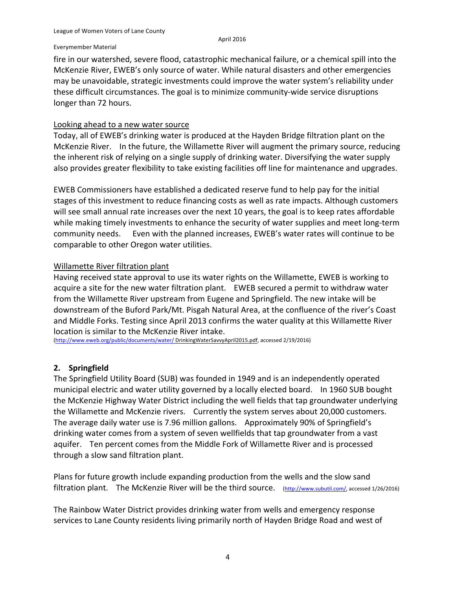fire in our watershed, severe flood, catastrophic mechanical failure, or a chemical spill into the McKenzie River, EWEB's only source of water. While natural disasters and other emergencies may be unavoidable, strategic investments could improve the water system's reliability under these difficult circumstances. The goal is to minimize community-wide service disruptions longer than 72 hours.

## Looking ahead to a new water source

Today, all of EWEB's drinking water is produced at the Hayden Bridge filtration plant on the McKenzie River. In the future, the Willamette River will augment the primary source, reducing the inherent risk of relying on a single supply of drinking water. Diversifying the water supply also provides greater flexibility to take existing facilities off line for maintenance and upgrades.

EWEB Commissioners have established a dedicated reserve fund to help pay for the initial stages of this investment to reduce financing costs as well as rate impacts. Although customers will see small annual rate increases over the next 10 years, the goal is to keep rates affordable while making timely investments to enhance the security of water supplies and meet long-term community needs. Even with the planned increases, EWEB's water rates will continue to be comparable to other Oregon water utilities.

## Willamette River filtration plant

Having received state approval to use its water rights on the Willamette, EWEB is working to acquire a site for the new water filtration plant. EWEB secured a permit to withdraw water from the Willamette River upstream from Eugene and Springfield. The new intake will be downstream of the Buford Park/Mt. Pisgah Natural Area, at the confluence of the river's Coast and Middle Forks. Testing since April 2013 confirms the water quality at this Willamette River location is similar to the McKenzie River intake.

(http://www.eweb.org/public/documents/water/ DrinkingWaterSavvyApril2015.pdf, accessed 2/19/2016)

# **2. Springfield**

The Springfield Utility Board (SUB) was founded in 1949 and is an independently operated municipal electric and water utility governed by a locally elected board. In 1960 SUB bought the McKenzie Highway Water District including the well fields that tap groundwater underlying the Willamette and McKenzie rivers. Currently the system serves about 20,000 customers. The average daily water use is 7.96 million gallons. Approximately 90% of Springfield's drinking water comes from a system of seven wellfields that tap groundwater from a vast aquifer. Ten percent comes from the Middle Fork of Willamette River and is processed through a slow sand filtration plant.

Plans for future growth include expanding production from the wells and the slow sand filtration plant. The McKenzie River will be the third source. (http://www.subutil.com/, accessed 1/26/2016)

The Rainbow Water District provides drinking water from wells and emergency response services to Lane County residents living primarily north of Hayden Bridge Road and west of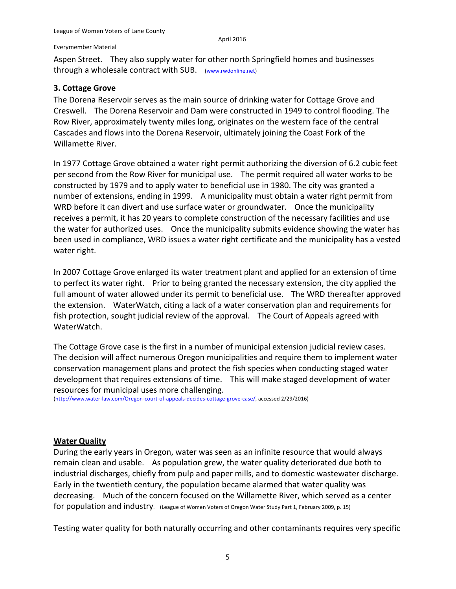Aspen Street. They also supply water for other north Springfield homes and businesses through a wholesale contract with SUB. (www.rwdonline.net)

### **3. Cottage Grove**

The Dorena Reservoir serves as the main source of drinking water for Cottage Grove and Creswell. The Dorena Reservoir and Dam were constructed in 1949 to control flooding. The Row River, approximately twenty miles long, originates on the western face of the central Cascades and flows into the Dorena Reservoir, ultimately joining the Coast Fork of the Willamette River.

In 1977 Cottage Grove obtained a water right permit authorizing the diversion of 6.2 cubic feet per second from the Row River for municipal use. The permit required all water works to be constructed by 1979 and to apply water to beneficial use in 1980. The city was granted a number of extensions, ending in 1999. A municipality must obtain a water right permit from WRD before it can divert and use surface water or groundwater. Once the municipality receives a permit, it has 20 years to complete construction of the necessary facilities and use the water for authorized uses. Once the municipality submits evidence showing the water has been used in compliance, WRD issues a water right certificate and the municipality has a vested water right.

In 2007 Cottage Grove enlarged its water treatment plant and applied for an extension of time to perfect its water right. Prior to being granted the necessary extension, the city applied the full amount of water allowed under its permit to beneficial use. The WRD thereafter approved the extension. WaterWatch, citing a lack of a water conservation plan and requirements for fish protection, sought judicial review of the approval. The Court of Appeals agreed with WaterWatch. 

The Cottage Grove case is the first in a number of municipal extension judicial review cases. The decision will affect numerous Oregon municipalities and require them to implement water conservation management plans and protect the fish species when conducting staged water development that requires extensions of time. This will make staged development of water resources for municipal uses more challenging.

(http://www.water-law.com/Oregon-court-of-appeals-decides-cottage-grove-case/, accessed 2/29/2016)

### **Water Quality**

During the early years in Oregon, water was seen as an infinite resource that would always remain clean and usable. As population grew, the water quality deteriorated due both to industrial discharges, chiefly from pulp and paper mills, and to domestic wastewater discharge. Early in the twentieth century, the population became alarmed that water quality was decreasing. Much of the concern focused on the Willamette River, which served as a center for population and industry. (League of Women Voters of Oregon Water Study Part 1, February 2009, p. 15)

Testing water quality for both naturally occurring and other contaminants requires very specific